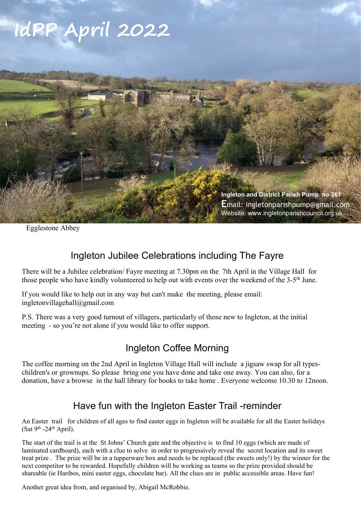# **IdPP April 2022**



Egglestone Abbey

### Ingleton Jubilee Celebrations including The Fayre

There will be a Jubilee celebration/ Fayre meeting at 7.30pm on the 7th April in the Village Hall for those people who have kindly volunteered to help out with events over the weekend of the 3-5<sup>th</sup> June.

If you would like to help out in any way but can't make the meeting, please email: ingletonvillagehall@gmail.com

P.S. There was a very good turnout of villagers, particularly of those new to Ingleton, at the initial meeting - so you're not alone if you would like to offer support.

### Ingleton Coffee Morning

The coffee morning on the 2nd April in Ingleton Village Hall will include a jigsaw swap for all typeschildren's or grownups. So please bring one you have done and take one away. You can also, for a donation, have a browse in the hall library for books to take home . Everyone welcome 10.30 to 12noon.

#### Have fun with the Ingleton Easter Trail -reminder

An Easter trail for children of all ages to find easter eggs in Ingleton will be available for all the Easter holidays (Sat  $9<sup>th</sup> - 24<sup>th</sup>$  April).

The start of the trail is at the St Johns' Church gate and the objective is to find 10 eggs (which are made of laminated cardboard), each with a clue to solve in order to progressively reveal the secret location and its sweet treat prize . The prize will be in a tupperware box and needs to be replaced (the sweets only!) by the winner for the next competitor to be rewarded. Hopefully children will be working as teams so the prize provided should be shareable (ie Haribos, mini easter eggs, chocolate bar). All the clues are in public accessible areas. Have fun!

Another great idea from, and organised by, Abigail McRobbie.